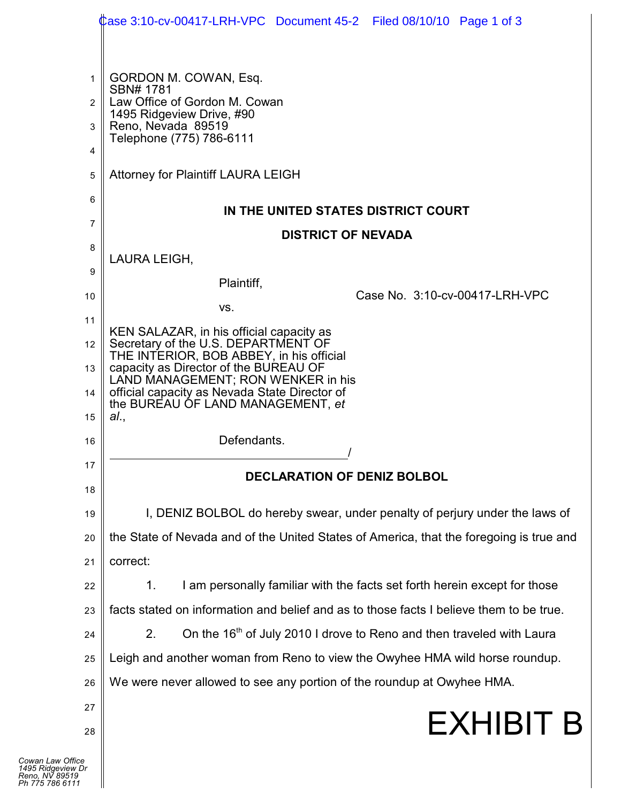|                  | Case 3:10-cv-00417-LRH-VPC Document 45-2   Filed 08/10/10   Page 1 of 3                                                                                                                                                                              |  |
|------------------|------------------------------------------------------------------------------------------------------------------------------------------------------------------------------------------------------------------------------------------------------|--|
|                  |                                                                                                                                                                                                                                                      |  |
| 1                | GORDON M. COWAN, Esq.                                                                                                                                                                                                                                |  |
| $\overline{2}$   | SBN# 1781<br>Law Office of Gordon M. Cowan<br>1495 Ridgeview Drive, #90<br>Reno, Nevada 89519                                                                                                                                                        |  |
| 3                |                                                                                                                                                                                                                                                      |  |
| 4                | Telephone (775) 786-6111                                                                                                                                                                                                                             |  |
| 5                | <b>Attorney for Plaintiff LAURA LEIGH</b>                                                                                                                                                                                                            |  |
| 6                | IN THE UNITED STATES DISTRICT COURT                                                                                                                                                                                                                  |  |
| 7                | <b>DISTRICT OF NEVADA</b>                                                                                                                                                                                                                            |  |
| 8                | LAURA LEIGH,                                                                                                                                                                                                                                         |  |
| 9                | Plaintiff,                                                                                                                                                                                                                                           |  |
| 10               | Case No. 3:10-cv-00417-LRH-VPC<br>VS.                                                                                                                                                                                                                |  |
| 11               | KEN SALAZAR, in his official capacity as                                                                                                                                                                                                             |  |
| 12               | Secretary of the U.S. DEPARTMENT OF<br>THE INTERIOR, BOB ABBEY, in his official<br>capacity as Director of the BUREAU OF<br>LAND MANAGEMENT; RON WENKER in his<br>official capacity as Nevada State Director of<br>the BUREAU OF LAND MANAGEMENT, et |  |
| 13               |                                                                                                                                                                                                                                                      |  |
| 14               |                                                                                                                                                                                                                                                      |  |
| 15               | al.,                                                                                                                                                                                                                                                 |  |
| 16               | Defendants.                                                                                                                                                                                                                                          |  |
| 17               | <b>DECLARATION OF DENIZ BOLBOL</b>                                                                                                                                                                                                                   |  |
| 18               |                                                                                                                                                                                                                                                      |  |
| 19               | I, DENIZ BOLBOL do hereby swear, under penalty of perjury under the laws of                                                                                                                                                                          |  |
| 20               | the State of Nevada and of the United States of America, that the foregoing is true and                                                                                                                                                              |  |
| 21               | correct:                                                                                                                                                                                                                                             |  |
| 22               | I am personally familiar with the facts set forth herein except for those<br>1.                                                                                                                                                                      |  |
| 23               | facts stated on information and belief and as to those facts I believe them to be true.                                                                                                                                                              |  |
| 24               | On the 16 <sup>th</sup> of July 2010 I drove to Reno and then traveled with Laura<br>2.                                                                                                                                                              |  |
| 25               | Leigh and another woman from Reno to view the Owyhee HMA wild horse roundup.                                                                                                                                                                         |  |
| 26               | We were never allowed to see any portion of the roundup at Owyhee HMA.                                                                                                                                                                               |  |
| 27               | EXHIBIT B                                                                                                                                                                                                                                            |  |
| 28               |                                                                                                                                                                                                                                                      |  |
| ice<br>′ Dr<br>9 |                                                                                                                                                                                                                                                      |  |
|                  |                                                                                                                                                                                                                                                      |  |

*Cowan Law Office 1495 Ridgeview Dr Reno, NV 89519 Ph 775 786 6111*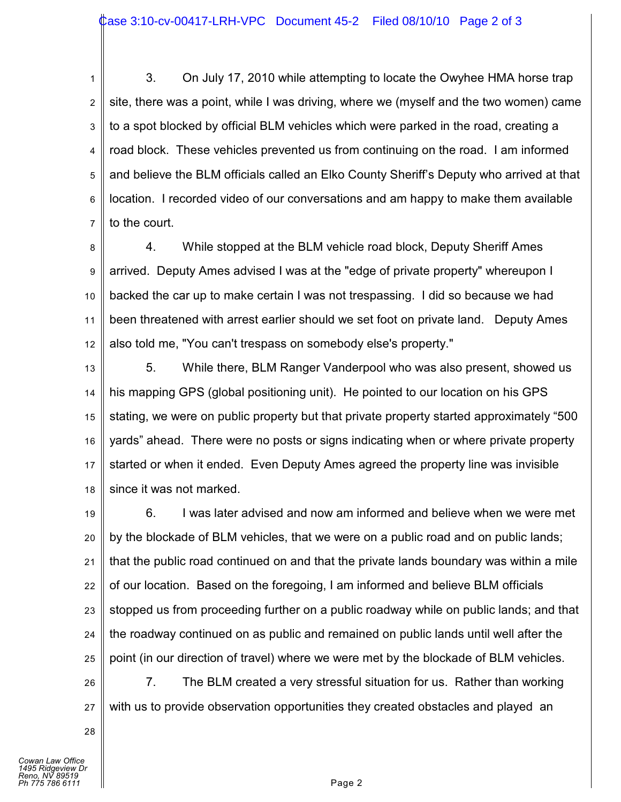1 2 3 4 5 6 7 3. On July 17, 2010 while attempting to locate the Owyhee HMA horse trap site, there was a point, while I was driving, where we (myself and the two women) came to a spot blocked by official BLM vehicles which were parked in the road, creating a road block. These vehicles prevented us from continuing on the road. I am informed and believe the BLM officials called an Elko County Sheriff's Deputy who arrived at that location. I recorded video of our conversations and am happy to make them available to the court.

8 9 10 11 12 4. While stopped at the BLM vehicle road block, Deputy Sheriff Ames arrived. Deputy Ames advised I was at the "edge of private property" whereupon I backed the car up to make certain I was not trespassing. I did so because we had been threatened with arrest earlier should we set foot on private land. Deputy Ames also told me, "You can't trespass on somebody else's property."

13 14 15 16 17 18 5. While there, BLM Ranger Vanderpool who was also present, showed us his mapping GPS (global positioning unit). He pointed to our location on his GPS stating, we were on public property but that private property started approximately "500 yards" ahead. There were no posts or signs indicating when or where private property started or when it ended. Even Deputy Ames agreed the property line was invisible since it was not marked.

19 20 21 22 23 24 25 6. I was later advised and now am informed and believe when we were met by the blockade of BLM vehicles, that we were on a public road and on public lands; that the public road continued on and that the private lands boundary was within a mile of our location. Based on the foregoing, I am informed and believe BLM officials stopped us from proceeding further on a public roadway while on public lands; and that the roadway continued on as public and remained on public lands until well after the point (in our direction of travel) where we were met by the blockade of BLM vehicles.

26 27 7. The BLM created a very stressful situation for us. Rather than working with us to provide observation opportunities they created obstacles and played an

28